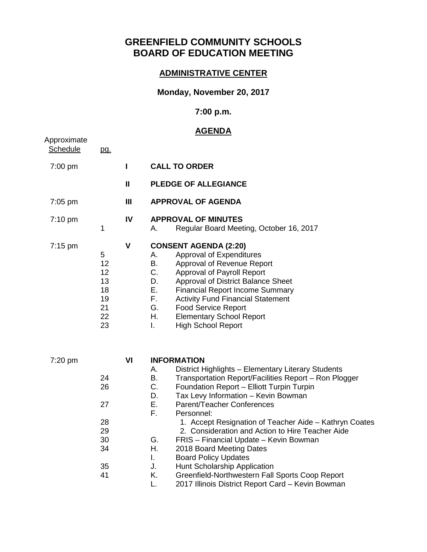# **GREENFIELD COMMUNITY SCHOOLS BOARD OF EDUCATION MEETING**

## **ADMINISTRATIVE CENTER**

#### **Monday, November 20, 2017**

#### **7:00 p.m.**

## **AGENDA**

| Approximate<br><b>Schedule</b> | <u>pg.</u>                                         |                |                                                                                                                                                                                                                                                                                                                                                                                                                                                                                                                                                                                                                                           |
|--------------------------------|----------------------------------------------------|----------------|-------------------------------------------------------------------------------------------------------------------------------------------------------------------------------------------------------------------------------------------------------------------------------------------------------------------------------------------------------------------------------------------------------------------------------------------------------------------------------------------------------------------------------------------------------------------------------------------------------------------------------------------|
| 7:00 pm                        |                                                    | $\mathbf{I}$   | <b>CALL TO ORDER</b>                                                                                                                                                                                                                                                                                                                                                                                                                                                                                                                                                                                                                      |
|                                |                                                    | $\mathbf{H}$   | <b>PLEDGE OF ALLEGIANCE</b>                                                                                                                                                                                                                                                                                                                                                                                                                                                                                                                                                                                                               |
| 7:05 pm                        |                                                    | $\mathbf{III}$ | <b>APPROVAL OF AGENDA</b>                                                                                                                                                                                                                                                                                                                                                                                                                                                                                                                                                                                                                 |
| 7:10 pm                        | 1                                                  | IV             | <b>APPROVAL OF MINUTES</b><br>Regular Board Meeting, October 16, 2017<br>А.                                                                                                                                                                                                                                                                                                                                                                                                                                                                                                                                                               |
| $7:15 \text{ pm}$              | 5<br>12<br>12<br>13<br>18<br>19<br>21<br>22<br>23  | V              | <b>CONSENT AGENDA (2:20)</b><br>Approval of Expenditures<br>А.<br>В.<br>Approval of Revenue Report<br>C.<br>Approval of Payroll Report<br>D.<br>Approval of District Balance Sheet<br>Е.<br><b>Financial Report Income Summary</b><br>F.<br><b>Activity Fund Financial Statement</b><br>G.<br><b>Food Service Report</b><br>Η.<br><b>Elementary School Report</b><br><b>High School Report</b><br>L.                                                                                                                                                                                                                                      |
| 7:20 pm                        | 24<br>26<br>27<br>28<br>29<br>30<br>34<br>35<br>41 | VI             | <b>INFORMATION</b><br>А.<br>District Highlights - Elementary Literary Students<br>В.<br>Transportation Report/Facilities Report - Ron Plogger<br>C.<br>Foundation Report - Elliott Turpin Turpin<br>D.<br>Tax Levy Information - Kevin Bowman<br>Е.<br>Parent/Teacher Conferences<br>F.<br>Personnel:<br>1. Accept Resignation of Teacher Aide - Kathryn Coates<br>2. Consideration and Action to Hire Teacher Aide<br>G.<br>FRIS - Financial Update - Kevin Bowman<br>Η.<br>2018 Board Meeting Dates<br><b>Board Policy Updates</b><br>I.<br>J.<br>Hunt Scholarship Application<br>K.<br>Greenfield-Northwestern Fall Sports Coop Report |

L. 2017 Illinois District Report Card – Kevin Bowman